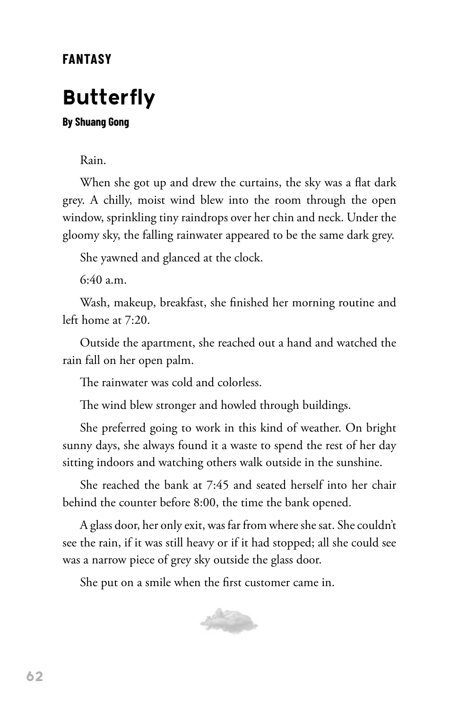## **FANTASY**

## **Butterfly**

## **By Shuang Gong**

Rain.

When she got up and drew the curtains, the sky was a flat dark grey. A chilly, moist wind blew into the room through the open window, sprinkling tiny raindrops over her chin and neck. Under the gloomy sky, the falling rainwater appeared to be the same dark grey.

She yawned and glanced at the clock.

6:40 a.m.

Wash, makeup, breakfast, she finished her morning routine and left home at 7:20.

Outside the apartment, she reached out a hand and watched the rain fall on her open palm.

The rainwater was cold and colorless.

The wind blew stronger and howled through buildings.

She preferred going to work in this kind of weather. On bright sunny days, she always found it a waste to spend the rest of her day sitting indoors and watching others walk outside in the sunshine.

She reached the bank at 7:45 and seated herself into her chair behind the counter before 8:00, the time the bank opened.

A glass door, her only exit, was far from where she sat. She couldn't see the rain, if it was still heavy or if it had stopped; all she could see was a narrow piece of grey sky outside the glass door.

She put on a smile when the first customer came in.

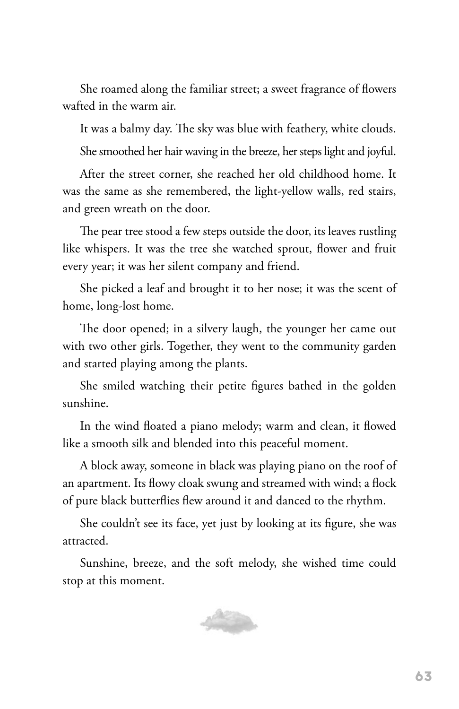She roamed along the familiar street; a sweet fragrance of flowers wafted in the warm air.

It was a balmy day. The sky was blue with feathery, white clouds. She smoothed her hair waving in the breeze, her steps light and joyful.

After the street corner, she reached her old childhood home. It was the same as she remembered, the light-yellow walls, red stairs, and green wreath on the door.

The pear tree stood a few steps outside the door, its leaves rustling like whispers. It was the tree she watched sprout, flower and fruit every year; it was her silent company and friend.

She picked a leaf and brought it to her nose; it was the scent of home, long-lost home.

The door opened; in a silvery laugh, the younger her came out with two other girls. Together, they went to the community garden and started playing among the plants.

She smiled watching their petite figures bathed in the golden sunshine.

In the wind floated a piano melody; warm and clean, it flowed like a smooth silk and blended into this peaceful moment.

A block away, someone in black was playing piano on the roof of an apartment. Its flowy cloak swung and streamed with wind; a flock of pure black butterflies flew around it and danced to the rhythm.

She couldn't see its face, yet just by looking at its figure, she was attracted.

Sunshine, breeze, and the soft melody, she wished time could stop at this moment.

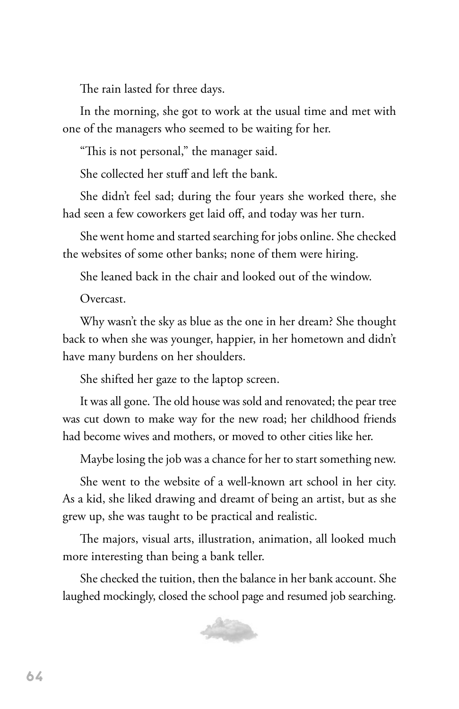The rain lasted for three days.

In the morning, she got to work at the usual time and met with one of the managers who seemed to be waiting for her.

"This is not personal," the manager said.

She collected her stuff and left the bank.

She didn't feel sad; during the four years she worked there, she had seen a few coworkers get laid off, and today was her turn.

She went home and started searching for jobs online. She checked the websites of some other banks; none of them were hiring.

She leaned back in the chair and looked out of the window.

Overcast.

Why wasn't the sky as blue as the one in her dream? She thought back to when she was younger, happier, in her hometown and didn't have many burdens on her shoulders.

She shifted her gaze to the laptop screen.

It was all gone. The old house was sold and renovated; the pear tree was cut down to make way for the new road; her childhood friends had become wives and mothers, or moved to other cities like her.

Maybe losing the job was a chance for her to start something new.

She went to the website of a well-known art school in her city. As a kid, she liked drawing and dreamt of being an artist, but as she grew up, she was taught to be practical and realistic.

The majors, visual arts, illustration, animation, all looked much more interesting than being a bank teller.

She checked the tuition, then the balance in her bank account. She laughed mockingly, closed the school page and resumed job searching.

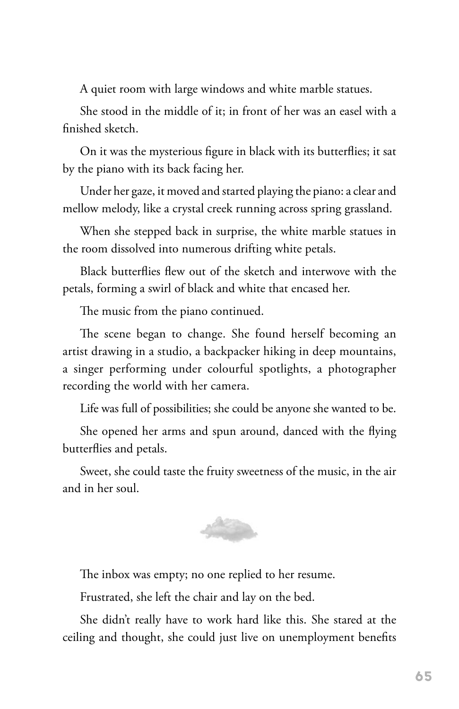A quiet room with large windows and white marble statues.

She stood in the middle of it; in front of her was an easel with a finished sketch.

On it was the mysterious figure in black with its butterflies; it sat by the piano with its back facing her.

Under her gaze, it moved and started playing the piano: a clear and mellow melody, like a crystal creek running across spring grassland.

When she stepped back in surprise, the white marble statues in the room dissolved into numerous drifting white petals.

Black butterflies flew out of the sketch and interwove with the petals, forming a swirl of black and white that encased her.

The music from the piano continued.

The scene began to change. She found herself becoming an artist drawing in a studio, a backpacker hiking in deep mountains, a singer performing under colourful spotlights, a photographer recording the world with her camera.

Life was full of possibilities; she could be anyone she wanted to be.

She opened her arms and spun around, danced with the flying butterflies and petals.

Sweet, she could taste the fruity sweetness of the music, in the air and in her soul.



The inbox was empty; no one replied to her resume.

Frustrated, she left the chair and lay on the bed.

She didn't really have to work hard like this. She stared at the ceiling and thought, she could just live on unemployment benefits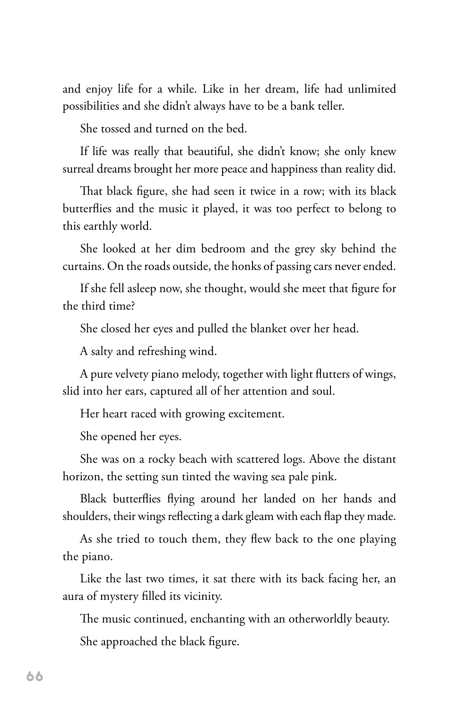and enjoy life for a while. Like in her dream, life had unlimited possibilities and she didn't always have to be a bank teller.

She tossed and turned on the bed.

If life was really that beautiful, she didn't know; she only knew surreal dreams brought her more peace and happiness than reality did.

That black figure, she had seen it twice in a row; with its black butterflies and the music it played, it was too perfect to belong to this earthly world.

She looked at her dim bedroom and the grey sky behind the curtains. On the roads outside, the honks of passing cars never ended.

If she fell asleep now, she thought, would she meet that figure for the third time?

She closed her eyes and pulled the blanket over her head.

A salty and refreshing wind.

A pure velvety piano melody, together with light flutters of wings, slid into her ears, captured all of her attention and soul.

Her heart raced with growing excitement.

She opened her eyes.

She was on a rocky beach with scattered logs. Above the distant horizon, the setting sun tinted the waving sea pale pink.

Black butterflies flying around her landed on her hands and shoulders, their wings reflecting a dark gleam with each flap they made.

As she tried to touch them, they flew back to the one playing the piano.

Like the last two times, it sat there with its back facing her, an aura of mystery filled its vicinity.

The music continued, enchanting with an otherworldly beauty.

She approached the black figure.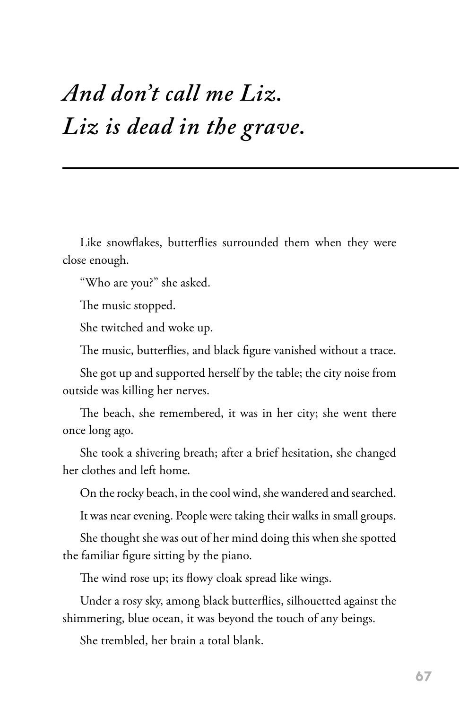## *And don't call me Liz. Liz is dead in the grave.*

Like snowflakes, butterflies surrounded them when they were close enough.

"Who are you?" she asked.

The music stopped.

She twitched and woke up.

The music, butterflies, and black figure vanished without a trace.

She got up and supported herself by the table; the city noise from outside was killing her nerves.

The beach, she remembered, it was in her city; she went there once long ago.

She took a shivering breath; after a brief hesitation, she changed her clothes and left home.

On the rocky beach, in the cool wind, she wandered and searched.

It was near evening. People were taking their walks in small groups.

She thought she was out of her mind doing this when she spotted the familiar figure sitting by the piano.

The wind rose up; its flowy cloak spread like wings.

Under a rosy sky, among black butterflies, silhouetted against the shimmering, blue ocean, it was beyond the touch of any beings.

She trembled, her brain a total blank.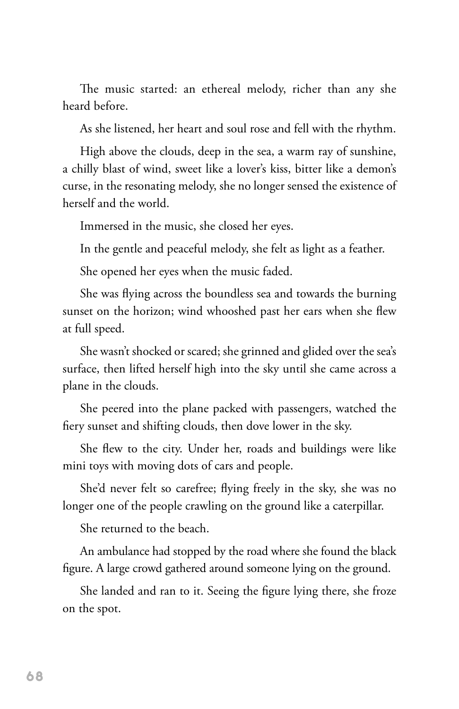The music started: an ethereal melody, richer than any she heard before.

As she listened, her heart and soul rose and fell with the rhythm.

High above the clouds, deep in the sea, a warm ray of sunshine, a chilly blast of wind, sweet like a lover's kiss, bitter like a demon's curse, in the resonating melody, she no longer sensed the existence of herself and the world.

Immersed in the music, she closed her eyes.

In the gentle and peaceful melody, she felt as light as a feather.

She opened her eyes when the music faded.

She was flying across the boundless sea and towards the burning sunset on the horizon; wind whooshed past her ears when she flew at full speed.

She wasn't shocked or scared; she grinned and glided over the sea's surface, then lifted herself high into the sky until she came across a plane in the clouds.

She peered into the plane packed with passengers, watched the fiery sunset and shifting clouds, then dove lower in the sky.

She flew to the city. Under her, roads and buildings were like mini toys with moving dots of cars and people.

She'd never felt so carefree; flying freely in the sky, she was no longer one of the people crawling on the ground like a caterpillar.

She returned to the beach.

An ambulance had stopped by the road where she found the black figure. A large crowd gathered around someone lying on the ground.

She landed and ran to it. Seeing the figure lying there, she froze on the spot.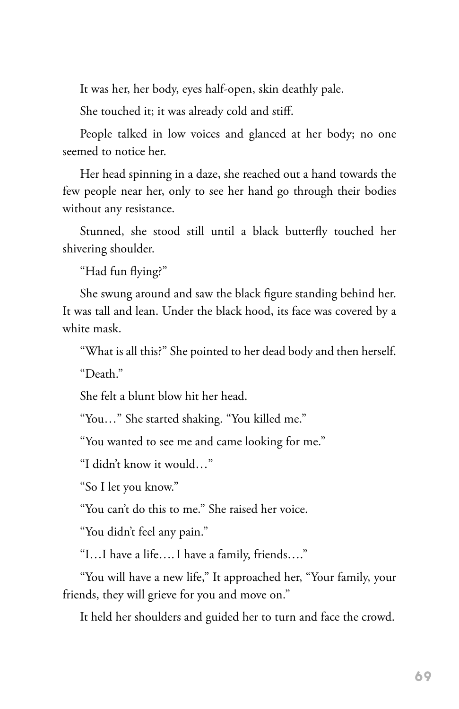It was her, her body, eyes half-open, skin deathly pale.

She touched it; it was already cold and stiff.

People talked in low voices and glanced at her body; no one seemed to notice her.

Her head spinning in a daze, she reached out a hand towards the few people near her, only to see her hand go through their bodies without any resistance.

Stunned, she stood still until a black butterfly touched her shivering shoulder.

"Had fun flying?"

She swung around and saw the black figure standing behind her. It was tall and lean. Under the black hood, its face was covered by a white mask.

"What is all this?" She pointed to her dead body and then herself.

"Death."

She felt a blunt blow hit her head.

"You…" She started shaking. "You killed me."

"You wanted to see me and came looking for me."

"I didn't know it would…"

"So I let you know."

"You can't do this to me." She raised her voice.

"You didn't feel any pain."

"I…I have a life…. I have a family, friends…."

"You will have a new life," It approached her, "Your family, your friends, they will grieve for you and move on."

It held her shoulders and guided her to turn and face the crowd.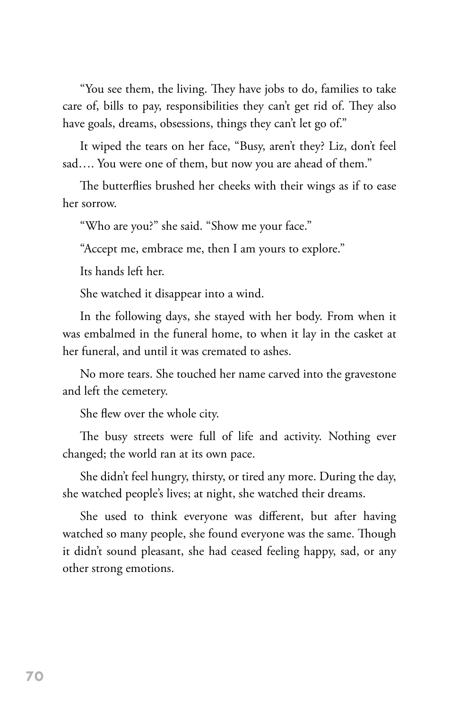"You see them, the living. They have jobs to do, families to take care of, bills to pay, responsibilities they can't get rid of. They also have goals, dreams, obsessions, things they can't let go of."

It wiped the tears on her face, "Busy, aren't they? Liz, don't feel sad…. You were one of them, but now you are ahead of them."

The butterflies brushed her cheeks with their wings as if to ease her sorrow.

"Who are you?" she said. "Show me your face."

"Accept me, embrace me, then I am yours to explore."

Its hands left her.

She watched it disappear into a wind.

In the following days, she stayed with her body. From when it was embalmed in the funeral home, to when it lay in the casket at her funeral, and until it was cremated to ashes.

No more tears. She touched her name carved into the gravestone and left the cemetery.

She flew over the whole city.

The busy streets were full of life and activity. Nothing ever changed; the world ran at its own pace.

She didn't feel hungry, thirsty, or tired any more. During the day, she watched people's lives; at night, she watched their dreams.

She used to think everyone was different, but after having watched so many people, she found everyone was the same. Though it didn't sound pleasant, she had ceased feeling happy, sad, or any other strong emotions.